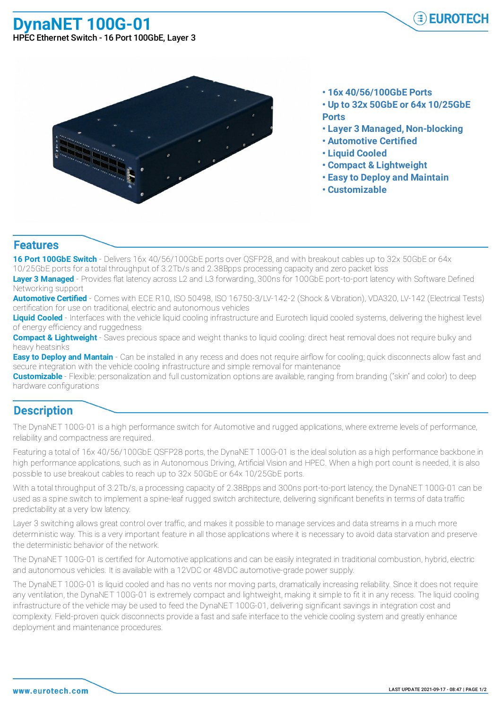**DynaNET 100G-01**



HPEC Ethernet Switch - 16 Port 100GbE, Layer 3



- **• 16x 40/56/100GbE Ports**
- **• Up to 32x 50GbE or 64x 10/25GbE**
- **Ports**
- **• Layer 3 Managed, Non-blocking**
- **• Automotive Certified**
- **• Liquid Cooled**
- **• Compact & Lightweight**
- **• Easy to Deploy and Maintain**
- **• Customizable**

## **Features**

**16 Port 100GbE Switch** - Delivers 16x 40/56/100GbE ports over QSFP28, and with breakout cables up to 32x 50GbE or 64x 10/25GbE ports for a total throughput of 3.2Tb/s and 2.38Bpps processing capacity and zero packet loss

**Layer 3 Managed** - Provides flat latency across L2 and L3 forwarding, 300ns for 100GbE port-to-port latency with Software Defined Networking support

**Automotive Certified** - Comes with ECE R10, ISO 50498, ISO 16750-3/LV-142-2 (Shock & Vibration), VDA320, LV-142 (Electrical Tests) certification for use on traditional, electric and autonomous vehicles

Liquid Cooled - Interfaces with the vehicle liquid cooling infrastructure and Eurotech liquid cooled systems, delivering the highest level of energy efficiency and ruggedness

**Compact & Lightweight** - Saves precious space and weight thanks to liquid cooling: direct heat removal does not require bulky and heavy heatsinks

**Easy to Deploy and Mantain** - Can be installed in any recess and does not require airflow for cooling; quick disconnects allow fast and secure integration with the vehicle cooling infrastructure and simple removal for maintenance

**Customizable** - Flexible: personalization and full customization options are available, ranging from branding ("skin" and color) to deep hardware configurations

## **Description**

The DynaNET 100G-01 is a high performance switch for Automotive and rugged applications, where extreme levels of performance, reliability and compactness are required.

Featuring a total of 16x 40/56/100GbE QSFP28 ports, the DynaNET 100G-01 is the ideal solution as a high performance backbone in high performance applications, such as in Autonomous Driving, Artificial Vision and HPEC. When a high port count is needed, it is also possible to use breakout cables to reach up to 32x 50GbE or 64x 10/25GbE ports.

With a total throughput of 3.2Tb/s, a processing capacity of 2.38Bpps and 300ns port-to-port latency, the DynaNET 100G-01 can be used as a spine switch to implement a spine-leaf rugged switch architecture, delivering significant benefits in terms of data traffic predictability at a very low latency.

Layer 3 switching allows great control over traffic, and makes it possible to manage services and data streams in a much more deterministic way. This is a very important feature in all those applications where it is necessary to avoid data starvation and preserve the deterministic behavior of the network.

The DynaNET 100G-01 is certified for Automotive applications and can be easily integrated in traditional combustion, hybrid, electric and autonomous vehicles. It is available with a 12VDC or 48VDC automotive-grade power supply.

The DynaNET 100G-01 is liquid cooled and has no vents nor moving parts, dramatically increasing reliability. Since it does not require any ventilation, the DynaNET 100G-01 is extremely compact and lightweight, making it simple to fit it in any recess. The liquid cooling infrastructure of the vehicle may be used to feed the DynaNET 100G-01, delivering significant savings in integration cost and complexity. Field-proven quick disconnects provide a fast and safe interface to the vehicle cooling system and greatly enhance deployment and maintenance procedures.